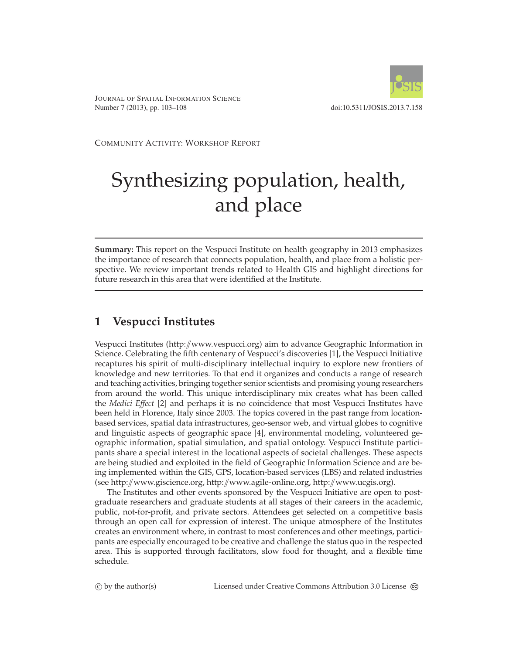

JOURNAL OF SPATIAL INFORMATION SCIENCE Number 7 (2013), pp. 103–108 doi:10.5311/JOSIS.2013.7.158

COMMUNITY ACTIVITY: WORKSHOP REPORT

# Synthesizing population, health, and place

**Summary:** This report on the Vespucci Institute on health geography in 2013 emphasizes the importance of research that connects population, health, and place from a holistic perspective. We review important trends related to Health GIS and highlight directions for future research in this area that were identified at the Institute.

## **1 Vespucci Institutes**

Vespucci Institutes (http://[www.vespucci.org\)](http://www.vespucci.org/) aim to advance Geographic Information in Science. Celebrating the fifth centenary of Vespucci's discoveries [\[1\]](#page-4-0), the Vespucci Initiative recaptures his spirit of multi-disciplinary intellectual inquiry to explore new frontiers of knowledge and new territories. To that end it organizes and conducts a range of research and teaching activities, bringing together senior scientists and promising young researchers from around the world. This unique interdisciplinary mix creates what has been called the *Medici Effect* [\[2\]](#page-4-1) and perhaps it is no coincidence that most Vespucci Institutes have been held in Florence, Italy since 2003. The topics covered in the past range from locationbased services, spatial data infrastructures, geo-sensor web, and virtual globes to cognitive and linguistic aspects of geographic space [\[4\]](#page-5-0), environmental modeling, volunteered geographic information, spatial simulation, and spatial ontology. Vespucci Institute participants share a special interest in the locational aspects of societal challenges. These aspects are being studied and exploited in the field of Geographic Information Science and are being implemented within the GIS, GPS, location-based services (LBS) and related industries (see http://[www.giscience.org,](http://www.giscience.org/) http://[www.agile-online.org,](http://www.agile-online.org/) http://[www.ucgis.org\)](http://www.ucgis.org/).

The Institutes and other events sponsored by the Vespucci Initiative are open to postgraduate researchers and graduate students at all stages of their careers in the academic, public, not-for-profit, and private sectors. Attendees get selected on a competitive basis through an open call for expression of interest. The unique atmosphere of the Institutes creates an environment where, in contrast to most conferences and other meetings, participants are especially encouraged to be creative and challenge the status quo in the respected area. This is supported through facilitators, slow food for thought, and a flexible time schedule.

 $\circled{c}$  by the author(s)

C by the author(s) Licensed under Creative Commons Attribution 3.0 License  $\circledcirc$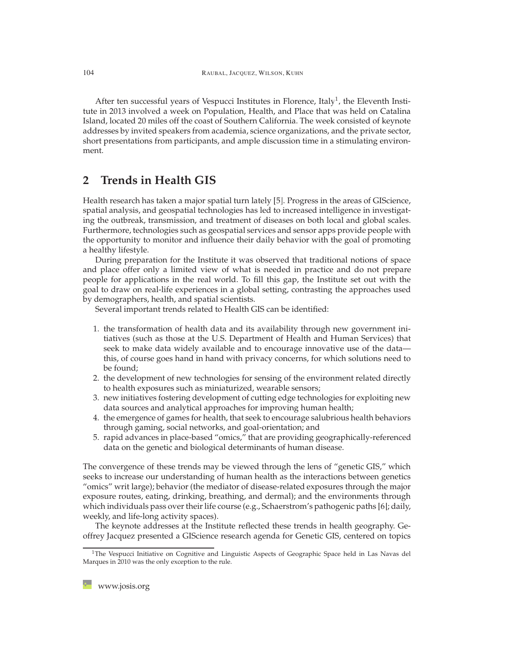After ten successful years of Vespucci Institutes in Florence, Italy<sup>1</sup>, the Eleventh Institute in 2013 involved a week on Population, Health, and Place that was held on Catalina Island, located 20 miles off the coast of Southern California. The week consisted of keynote addresses by invited speakers from academia, science organizations, and the private sector, short presentations from participants, and ample discussion time in a stimulating environment.

## **2 Trends in Health GIS**

Health research has taken a major spatial turn lately [\[5\]](#page-5-1). Progress in the areas of GIScience, spatial analysis, and geospatial technologies has led to increased intelligence in investigating the outbreak, transmission, and treatment of diseases on both local and global scales. Furthermore, technologies such as geospatial services and sensor apps provide people with the opportunity to monitor and influence their daily behavior with the goal of promoting a healthy lifestyle.

During preparation for the Institute it was observed that traditional notions of space and place offer only a limited view of what is needed in practice and do not prepare people for applications in the real world. To fill this gap, the Institute set out with the goal to draw on real-life experiences in a global setting, contrasting the approaches used by demographers, health, and spatial scientists.

Several important trends related to Health GIS can be identified:

- 1. the transformation of health data and its availability through new government initiatives (such as those at the U.S. Department of Health and Human Services) that seek to make data widely available and to encourage innovative use of the data this, of course goes hand in hand with privacy concerns, for which solutions need to be found;
- 2. the development of new technologies for sensing of the environment related directly to health exposures such as miniaturized, wearable sensors;
- 3. new initiatives fostering development of cutting edge technologies for exploiting new data sources and analytical approaches for improving human health;
- 4. the emergence of games for health, that seek to encourage salubrious health behaviors through gaming, social networks, and goal-orientation; and
- 5. rapid advances in place-based "omics," that are providing geographically-referenced data on the genetic and biological determinants of human disease.

The convergence of these trends may be viewed through the lens of "genetic GIS," which seeks to increase our understanding of human health as the interactions between genetics "omics" writ large); behavior (the mediator of disease-related exposures through the major exposure routes, eating, drinking, breathing, and dermal); and the environments through which individuals pass over their life course (e.g., Schaerstrom's pathogenic paths [\[6\]](#page-5-2); daily, weekly, and life-long activity spaces).

The keynote addresses at the Institute reflected these trends in health geography. Geoffrey Jacquez presented a GIScience research agenda for Genetic GIS, centered on topics

<span id="page-1-0"></span><sup>&</sup>lt;sup>1</sup>The Vespucci Initiative on Cognitive and Linguistic Aspects of Geographic Space held in Las Navas del Marques in 2010 was the only exception to the rule.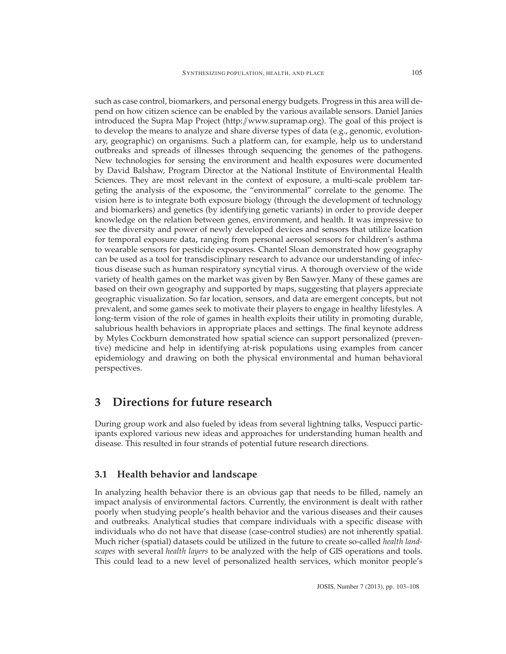such as case control, biomarkers, and personal energy budgets. Progress in this area will depend on how citizen science can be enabled by the various available sensors. Daniel Janies introduced the Supra Map Project (http://[www.supramap.org\)](http://www.supramap.org/). The goal of this project is to develop the means to analyze and share diverse types of data (e.g., genomic, evolutionary, geographic) on organisms. Such a platform can, for example, help us to understand outbreaks and spreads of illnesses through sequencing the genomes of the pathogens. New technologies for sensing the environment and health exposures were documented by David Balshaw, Program Director at the National Institute of Environmental Health Sciences. They are most relevant in the context of exposure, a multi-scale problem targeting the analysis of the exposome, the "environmental" correlate to the genome. The vision here is to integrate both exposure biology (through the development of technology and biomarkers) and genetics (by identifying genetic variants) in order to provide deeper knowledge on the relation between genes, environment, and health. It was impressive to see the diversity and power of newly developed devices and sensors that utilize location for temporal exposure data, ranging from personal aerosol sensors for children's asthma to wearable sensors for pesticide exposures. Chantel Sloan demonstrated how geography can be used as a tool for transdisciplinary research to advance our understanding of infectious disease such as human respiratory syncytial virus. A thorough overview of the wide variety of health games on the market was given by Ben Sawyer. Many of these games are based on their own geography and supported by maps, suggesting that players appreciate geographic visualization. So far location, sensors, and data are emergent concepts, but not prevalent, and some games seek to motivate their players to engage in healthy lifestyles. A long-term vision of the role of games in health exploits their utility in promoting durable, salubrious health behaviors in appropriate places and settings. The final keynote address by Myles Cockburn demonstrated how spatial science can support personalized (preventive) medicine and help in identifying at-risk populations using examples from cancer epidemiology and drawing on both the physical environmental and human behavioral perspectives.

### **3 Directions for future research**

During group work and also fueled by ideas from several lightning talks, Vespucci participants explored various new ideas and approaches for understanding human health and disease. This resulted in four strands of potential future research directions.

#### **3.1 Health behavior and landscape**

In analyzing health behavior there is an obvious gap that needs to be filled, namely an impact analysis of environmental factors. Currently, the environment is dealt with rather poorly when studying people's health behavior and the various diseases and their causes and outbreaks. Analytical studies that compare individuals with a specific disease with individuals who do not have that disease (case-control studies) are not inherently spatial. Much richer (spatial) datasets could be utilized in the future to create so-called *health landscapes* with several *health layers* to be analyzed with the help of GIS operations and tools. This could lead to a new level of personalized health services, which monitor people's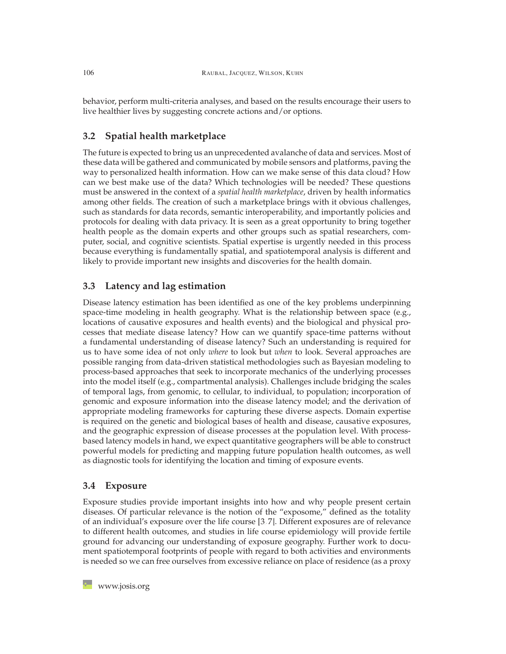behavior, perform multi-criteria analyses, and based on the results encourage their users to live healthier lives by suggesting concrete actions and/or options.

#### **3.2 Spatial health marketplace**

The future is expected to bring us an unprecedented avalanche of data and services. Most of these data will be gathered and communicated by mobile sensors and platforms, paving the way to personalized health information. How can we make sense of this data cloud? How can we best make use of the data? Which technologies will be needed? These questions must be answered in the context of a *spatial health marketplace*, driven by health informatics among other fields. The creation of such a marketplace brings with it obvious challenges, such as standards for data records, semantic interoperability, and importantly policies and protocols for dealing with data privacy. It is seen as a great opportunity to bring together health people as the domain experts and other groups such as spatial researchers, computer, social, and cognitive scientists. Spatial expertise is urgently needed in this process because everything is fundamentally spatial, and spatiotemporal analysis is different and likely to provide important new insights and discoveries for the health domain.

#### **3.3 Latency and lag estimation**

Disease latency estimation has been identified as one of the key problems underpinning space-time modeling in health geography. What is the relationship between space (e.g., locations of causative exposures and health events) and the biological and physical processes that mediate disease latency? How can we quantify space-time patterns without a fundamental understanding of disease latency? Such an understanding is required for us to have some idea of not only *where* to look but *when* to look. Several approaches are possible ranging from data-driven statistical methodologies such as Bayesian modeling to process-based approaches that seek to incorporate mechanics of the underlying processes into the model itself (e.g., compartmental analysis). Challenges include bridging the scales of temporal lags, from genomic, to cellular, to individual, to population; incorporation of genomic and exposure information into the disease latency model; and the derivation of appropriate modeling frameworks for capturing these diverse aspects. Domain expertise is required on the genetic and biological bases of health and disease, causative exposures, and the geographic expression of disease processes at the population level. With processbased latency models in hand, we expect quantitative geographers will be able to construct powerful models for predicting and mapping future population health outcomes, as well as diagnostic tools for identifying the location and timing of exposure events.

#### **3.4 Exposure**

Exposure studies provide important insights into how and why people present certain diseases. Of particular relevance is the notion of the "exposome," defined as the totality of an individual's exposure over the life course [\[3,](#page-4-2) [7\]](#page-5-3). Different exposures are of relevance to different health outcomes, and studies in life course epidemiology will provide fertile ground for advancing our understanding of exposure geography. Further work to document spatiotemporal footprints of people with regard to both activities and environments is needed so we can free ourselves from excessive reliance on place of residence (as a proxy

**[www.josis.org](http://www.josis.org)**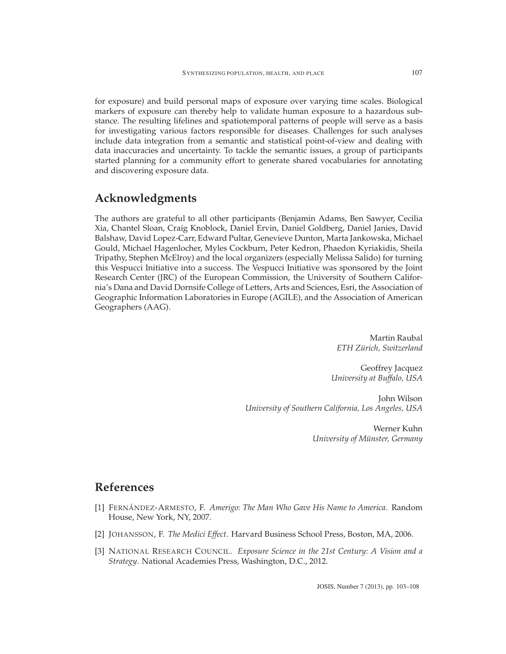for exposure) and build personal maps of exposure over varying time scales. Biological markers of exposure can thereby help to validate human exposure to a hazardous substance. The resulting lifelines and spatiotemporal patterns of people will serve as a basis for investigating various factors responsible for diseases. Challenges for such analyses include data integration from a semantic and statistical point-of-view and dealing with data inaccuracies and uncertainty. To tackle the semantic issues, a group of participants started planning for a community effort to generate shared vocabularies for annotating and discovering exposure data.

## **Acknowledgments**

The authors are grateful to all other participants (Benjamin Adams, Ben Sawyer, Cecilia Xia, Chantel Sloan, Craig Knoblock, Daniel Ervin, Daniel Goldberg, Daniel Janies, David Balshaw, David Lopez-Carr, Edward Pultar, Genevieve Dunton, Marta Jankowska, Michael Gould, Michael Hagenlocher, Myles Cockburn, Peter Kedron, Phaedon Kyriakidis, Sheila Tripathy, Stephen McElroy) and the local organizers (especially Melissa Salido) for turning this Vespucci Initiative into a success. The Vespucci Initiative was sponsored by the Joint Research Center (JRC) of the European Commission, the University of Southern California's Dana and David Dornsife College of Letters, Arts and Sciences, Esri, the Association of Geographic Information Laboratories in Europe (AGILE), and the Association of American Geographers (AAG).

> Martin Raubal *ETH Z ¨urich, Switzerland*

Geoffrey Jacquez *University at Buffalo, USA*

John Wilson *University of Southern California, Los Angeles, USA*

> Werner Kuhn *University of Münster, Germany*

## <span id="page-4-0"></span>**References**

- [1] FERNANDEZ ´ -ARMESTO, F. *Amerigo: The Man Who Gave His Name to America*. Random House, New York, NY, 2007.
- <span id="page-4-2"></span><span id="page-4-1"></span>[2] JOHANSSON, F. *The Medici Effect*. Harvard Business School Press, Boston, MA, 2006.
- [3] NATIONAL RESEARCH COUNCIL. *Exposure Science in the 21st Century: A Vision and a Strategy*. National Academies Press, Washington, D.C., 2012.